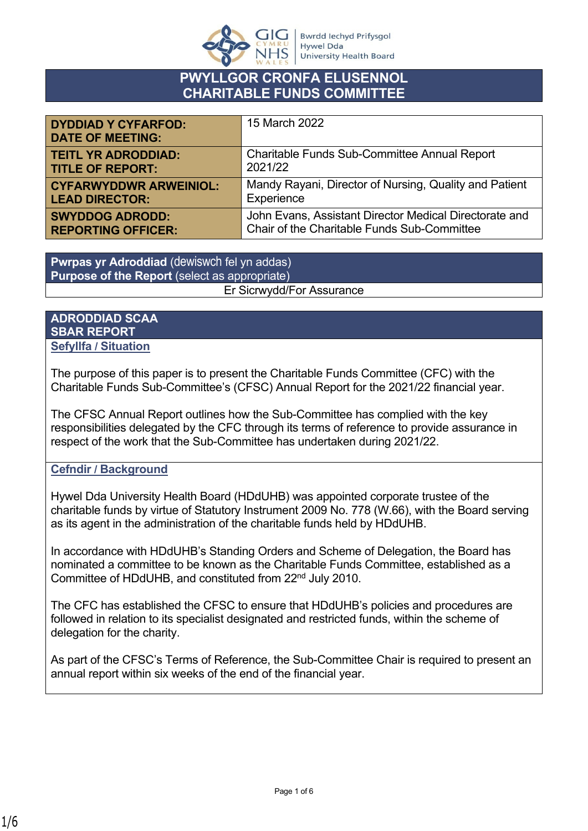

## **PWYLLGOR CRONFA ELUSENNOL CHARITABLE FUNDS COMMITTEE**

| <b>DYDDIAD Y CYFARFOD:</b><br><b>DATE OF MEETING:</b> | 15 March 2022                                          |
|-------------------------------------------------------|--------------------------------------------------------|
| <b>TEITL YR ADRODDIAD:</b>                            | Charitable Funds Sub-Committee Annual Report           |
| <b>TITLE OF REPORT:</b>                               | 2021/22                                                |
| <b>CYFARWYDDWR ARWEINIOL:</b>                         | Mandy Rayani, Director of Nursing, Quality and Patient |
| <b>LEAD DIRECTOR:</b>                                 | Experience                                             |
| <b>SWYDDOG ADRODD:</b>                                | John Evans, Assistant Director Medical Directorate and |
| <b>REPORTING OFFICER:</b>                             | Chair of the Charitable Funds Sub-Committee            |

**Pwrpas yr Adroddiad** (dewiswch fel yn addas) **Purpose of the Report** (select as appropriate) Er Sicrwydd/For Assurance

#### **ADRODDIAD SCAA SBAR REPORT Sefyllfa / Situation**

The purpose of this paper is to present the Charitable Funds Committee (CFC) with the Charitable Funds Sub-Committee's (CFSC) Annual Report for the 2021/22 financial year.

The CFSC Annual Report outlines how the Sub-Committee has complied with the key responsibilities delegated by the CFC through its terms of reference to provide assurance in respect of the work that the Sub-Committee has undertaken during 2021/22.

#### **Cefndir / Background**

Hywel Dda University Health Board (HDdUHB) was appointed corporate trustee of the charitable funds by virtue of Statutory Instrument 2009 No. 778 (W.66), with the Board serving as its agent in the administration of the charitable funds held by HDdUHB.

In accordance with HDdUHB's Standing Orders and Scheme of Delegation, the Board has nominated a committee to be known as the Charitable Funds Committee, established as a Committee of HDdUHB, and constituted from 22nd July 2010.

The CFC has established the CFSC to ensure that HDdUHB's policies and procedures are followed in relation to its specialist designated and restricted funds, within the scheme of delegation for the charity.

As part of the CFSC's Terms of Reference, the Sub-Committee Chair is required to present an annual report within six weeks of the end of the financial year.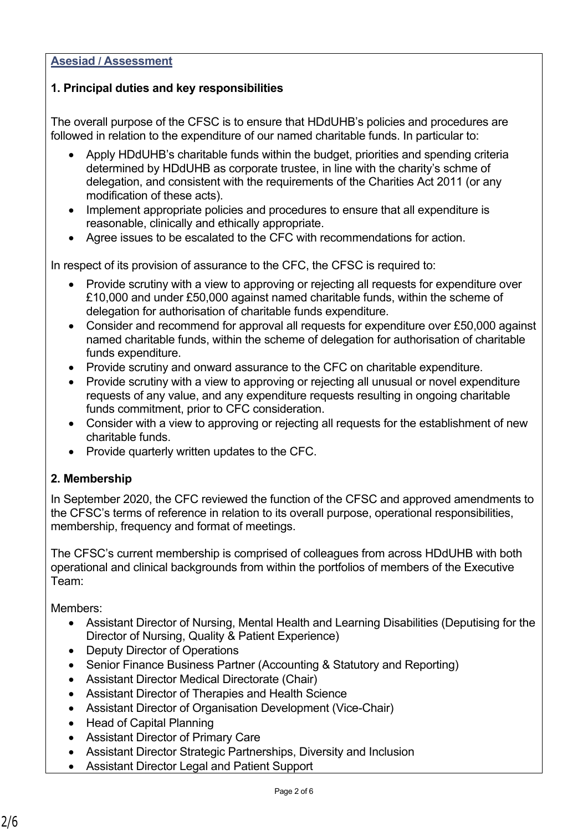#### **Asesiad / Assessment**

#### **1. Principal duties and key responsibilities**

The overall purpose of the CFSC is to ensure that HDdUHB's policies and procedures are followed in relation to the expenditure of our named charitable funds. In particular to:

- Apply HDdUHB's charitable funds within the budget, priorities and spending criteria determined by HDdUHB as corporate trustee, in line with the charity's schme of delegation, and consistent with the requirements of the Charities Act 2011 (or any modification of these acts).
- Implement appropriate policies and procedures to ensure that all expenditure is reasonable, clinically and ethically appropriate.
- Agree issues to be escalated to the CFC with recommendations for action.

In respect of its provision of assurance to the CFC, the CFSC is required to:

- Provide scrutiny with a view to approving or rejecting all requests for expenditure over £10,000 and under £50,000 against named charitable funds, within the scheme of delegation for authorisation of charitable funds expenditure.
- Consider and recommend for approval all requests for expenditure over £50,000 against named charitable funds, within the scheme of delegation for authorisation of charitable funds expenditure.
- Provide scrutiny and onward assurance to the CFC on charitable expenditure.
- Provide scrutiny with a view to approving or rejecting all unusual or novel expenditure requests of any value, and any expenditure requests resulting in ongoing charitable funds commitment, prior to CFC consideration.
- Consider with a view to approving or rejecting all requests for the establishment of new charitable funds.
- Provide quarterly written updates to the CFC.

#### **2. Membership**

In September 2020, the CFC reviewed the function of the CFSC and approved amendments to the CFSC's terms of reference in relation to its overall purpose, operational responsibilities, membership, frequency and format of meetings.

The CFSC's current membership is comprised of colleagues from across HDdUHB with both operational and clinical backgrounds from within the portfolios of members of the Executive Team:

Members:

- Assistant Director of Nursing, Mental Health and Learning Disabilities (Deputising for the Director of Nursing, Quality & Patient Experience)
- Deputy Director of Operations
- Senior Finance Business Partner (Accounting & Statutory and Reporting)
- Assistant Director Medical Directorate (Chair)
- Assistant Director of Therapies and Health Science
- Assistant Director of Organisation Development (Vice-Chair)
- Head of Capital Planning
- Assistant Director of Primary Care
- Assistant Director Strategic Partnerships, Diversity and Inclusion
- Assistant Director Legal and Patient Support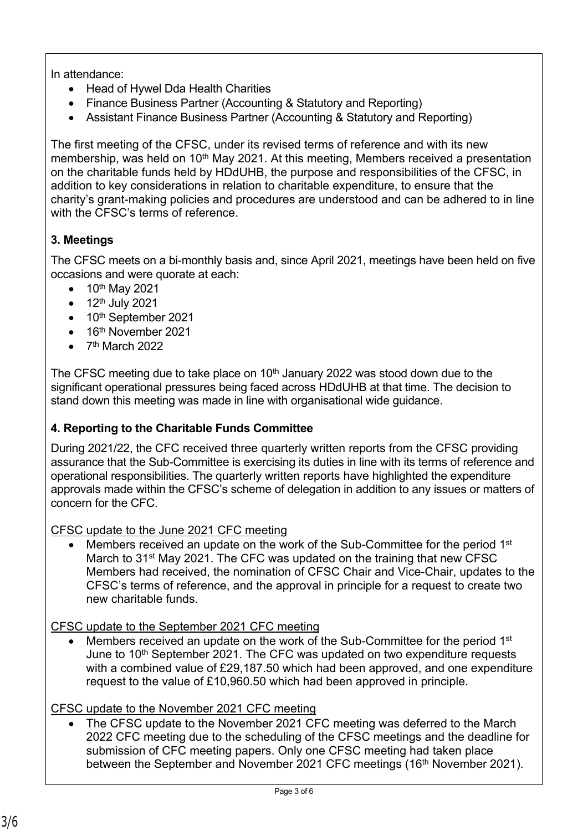In attendance:

- Head of Hywel Dda Health Charities
- Finance Business Partner (Accounting & Statutory and Reporting)
- Assistant Finance Business Partner (Accounting & Statutory and Reporting)

The first meeting of the CFSC, under its revised terms of reference and with its new membership, was held on 10<sup>th</sup> May 2021. At this meeting, Members received a presentation on the charitable funds held by HDdUHB, the purpose and responsibilities of the CFSC, in addition to key considerations in relation to charitable expenditure, to ensure that the charity's grant-making policies and procedures are understood and can be adhered to in line with the CFSC's terms of reference

# **3. Meetings**

The CFSC meets on a bi-monthly basis and, since April 2021, meetings have been held on five occasions and were quorate at each:

- $\bullet$  10<sup>th</sup> May 2021
- $\bullet$  12<sup>th</sup> July 2021
- 10<sup>th</sup> September 2021
- $\bullet$  16<sup>th</sup> November 2021
- $\bullet$  7<sup>th</sup> March 2022

The CFSC meeting due to take place on  $10<sup>th</sup>$  January 2022 was stood down due to the significant operational pressures being faced across HDdUHB at that time. The decision to stand down this meeting was made in line with organisational wide guidance.

# **4. Reporting to the Charitable Funds Committee**

During 2021/22, the CFC received three quarterly written reports from the CFSC providing assurance that the Sub-Committee is exercising its duties in line with its terms of reference and operational responsibilities. The quarterly written reports have highlighted the expenditure approvals made within the CFSC's scheme of delegation in addition to any issues or matters of concern for the CFC.

## CFSC update to the June 2021 CFC meeting

 Members received an update on the work of the Sub-Committee for the period 1st March to 31<sup>st</sup> May 2021. The CFC was updated on the training that new CFSC Members had received, the nomination of CFSC Chair and Vice-Chair, updates to the CFSC's terms of reference, and the approval in principle for a request to create two new charitable funds.

## CFSC update to the September 2021 CFC meeting

 Members received an update on the work of the Sub-Committee for the period 1st June to 10<sup>th</sup> September 2021. The CFC was updated on two expenditure requests with a combined value of £29,187.50 which had been approved, and one expenditure request to the value of £10,960.50 which had been approved in principle.

## CFSC update to the November 2021 CFC meeting

 The CFSC update to the November 2021 CFC meeting was deferred to the March 2022 CFC meeting due to the scheduling of the CFSC meetings and the deadline for submission of CFC meeting papers. Only one CFSC meeting had taken place between the September and November 2021 CFC meetings (16th November 2021).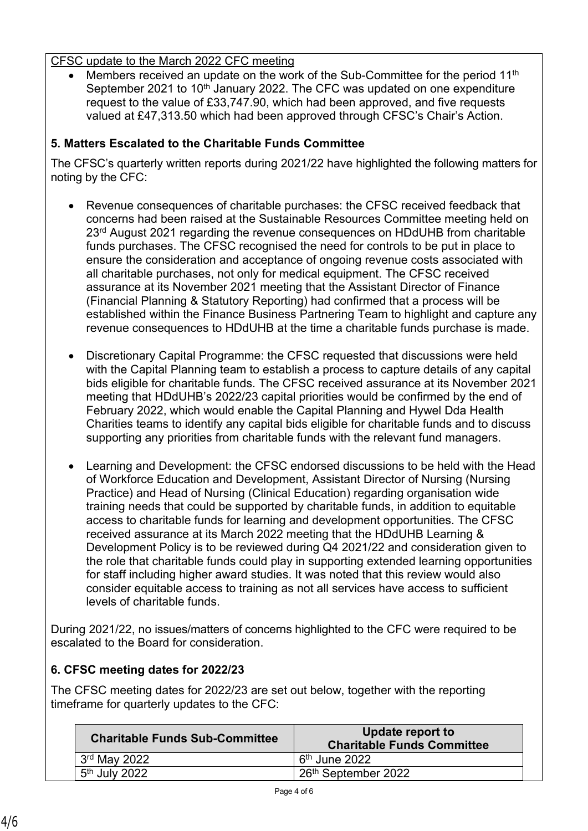#### CFSC update to the March 2022 CFC meeting

Members received an update on the work of the Sub-Committee for the period 11<sup>th</sup> September 2021 to 10<sup>th</sup> January 2022. The CFC was updated on one expenditure request to the value of £33,747.90, which had been approved, and five requests valued at £47,313.50 which had been approved through CFSC's Chair's Action.

### **5. Matters Escalated to the Charitable Funds Committee**

The CFSC's quarterly written reports during 2021/22 have highlighted the following matters for noting by the CFC:

- Revenue consequences of charitable purchases: the CFSC received feedback that concerns had been raised at the Sustainable Resources Committee meeting held on 23<sup>rd</sup> August 2021 regarding the revenue consequences on HDdUHB from charitable funds purchases. The CFSC recognised the need for controls to be put in place to ensure the consideration and acceptance of ongoing revenue costs associated with all charitable purchases, not only for medical equipment. The CFSC received assurance at its November 2021 meeting that the Assistant Director of Finance (Financial Planning & Statutory Reporting) had confirmed that a process will be established within the Finance Business Partnering Team to highlight and capture any revenue consequences to HDdUHB at the time a charitable funds purchase is made.
- Discretionary Capital Programme: the CFSC requested that discussions were held with the Capital Planning team to establish a process to capture details of any capital bids eligible for charitable funds. The CFSC received assurance at its November 2021 meeting that HDdUHB's 2022/23 capital priorities would be confirmed by the end of February 2022, which would enable the Capital Planning and Hywel Dda Health Charities teams to identify any capital bids eligible for charitable funds and to discuss supporting any priorities from charitable funds with the relevant fund managers.
- Learning and Development: the CFSC endorsed discussions to be held with the Head of Workforce Education and Development, Assistant Director of Nursing (Nursing Practice) and Head of Nursing (Clinical Education) regarding organisation wide training needs that could be supported by charitable funds, in addition to equitable access to charitable funds for learning and development opportunities. The CFSC received assurance at its March 2022 meeting that the HDdUHB Learning & Development Policy is to be reviewed during Q4 2021/22 and consideration given to the role that charitable funds could play in supporting extended learning opportunities for staff including higher award studies. It was noted that this review would also consider equitable access to training as not all services have access to sufficient levels of charitable funds.

During 2021/22, no issues/matters of concerns highlighted to the CFC were required to be escalated to the Board for consideration.

## **6. CFSC meeting dates for 2022/23**

The CFSC meeting dates for 2022/23 are set out below, together with the reporting timeframe for quarterly updates to the CFC:

| <b>Charitable Funds Sub-Committee</b> | Update report to<br><b>Charitable Funds Committee</b> |
|---------------------------------------|-------------------------------------------------------|
| $3rd$ May 2022                        | ⊢6 <sup>th</sup> June 2022                            |
| 5 <sup>th</sup> July 2022             | 26 <sup>th</sup> September 2022                       |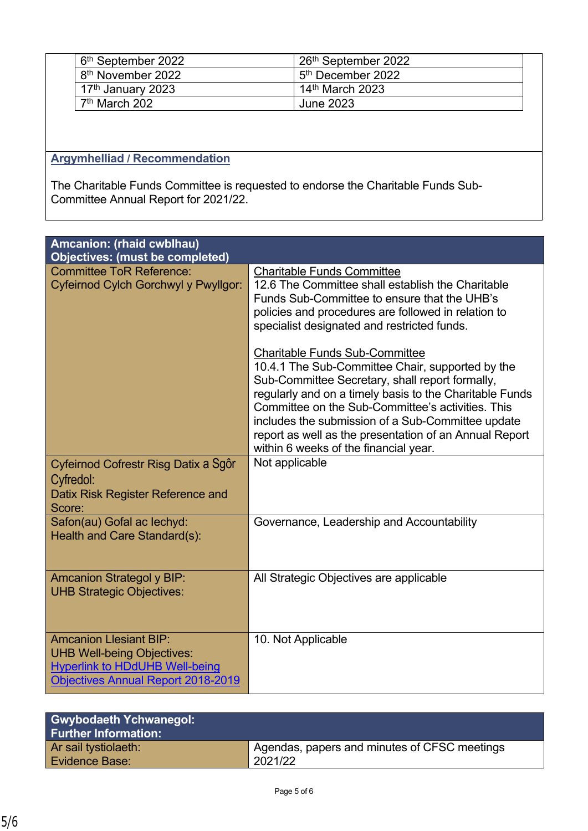| 6 <sup>th</sup> September 2022 | 26 <sup>th</sup> September 2022 |
|--------------------------------|---------------------------------|
| 8 <sup>th</sup> November 2022  | 5 <sup>th</sup> December 2022   |
| 17 <sup>th</sup> January 2023  | 14 <sup>th</sup> March 2023     |
| 7 <sup>th</sup> March 202      | June 2023                       |

# **Argymhelliad / Recommendation**

The Charitable Funds Committee is requested to endorse the Charitable Funds Sub-Committee Annual Report for 2021/22.

| Amcanion: (rhaid cwblhau)<br><b>Objectives: (must be completed)</b>                                                                                      |                                                                                                                                                                                                                                                                                                                                                                                                                      |  |
|----------------------------------------------------------------------------------------------------------------------------------------------------------|----------------------------------------------------------------------------------------------------------------------------------------------------------------------------------------------------------------------------------------------------------------------------------------------------------------------------------------------------------------------------------------------------------------------|--|
| <b>Committee ToR Reference:</b><br>Cyfeirnod Cylch Gorchwyl y Pwyllgor:                                                                                  | <b>Charitable Funds Committee</b><br>12.6 The Committee shall establish the Charitable<br>Funds Sub-Committee to ensure that the UHB's<br>policies and procedures are followed in relation to<br>specialist designated and restricted funds.                                                                                                                                                                         |  |
|                                                                                                                                                          | <b>Charitable Funds Sub-Committee</b><br>10.4.1 The Sub-Committee Chair, supported by the<br>Sub-Committee Secretary, shall report formally,<br>regularly and on a timely basis to the Charitable Funds<br>Committee on the Sub-Committee's activities. This<br>includes the submission of a Sub-Committee update<br>report as well as the presentation of an Annual Report<br>within 6 weeks of the financial year. |  |
| Cyfeirnod Cofrestr Risg Datix a Sgôr<br>Cyfredol:<br>Datix Risk Register Reference and<br>Score:                                                         | Not applicable                                                                                                                                                                                                                                                                                                                                                                                                       |  |
| Safon(au) Gofal ac lechyd:<br>Health and Care Standard(s):                                                                                               | Governance, Leadership and Accountability                                                                                                                                                                                                                                                                                                                                                                            |  |
| <b>Amcanion Strategol y BIP:</b><br><b>UHB Strategic Objectives:</b>                                                                                     | All Strategic Objectives are applicable                                                                                                                                                                                                                                                                                                                                                                              |  |
| <b>Amcanion Llesiant BIP:</b><br><b>UHB Well-being Objectives:</b><br><b>Hyperlink to HDdUHB Well-being</b><br><b>Objectives Annual Report 2018-2019</b> | 10. Not Applicable                                                                                                                                                                                                                                                                                                                                                                                                   |  |

| <b>Gwybodaeth Ychwanegol:</b><br><b>Further Information:</b> |                                              |
|--------------------------------------------------------------|----------------------------------------------|
| Ar sail tystiolaeth:                                         | Agendas, papers and minutes of CFSC meetings |
| <b>Evidence Base:</b>                                        | 2021/22                                      |